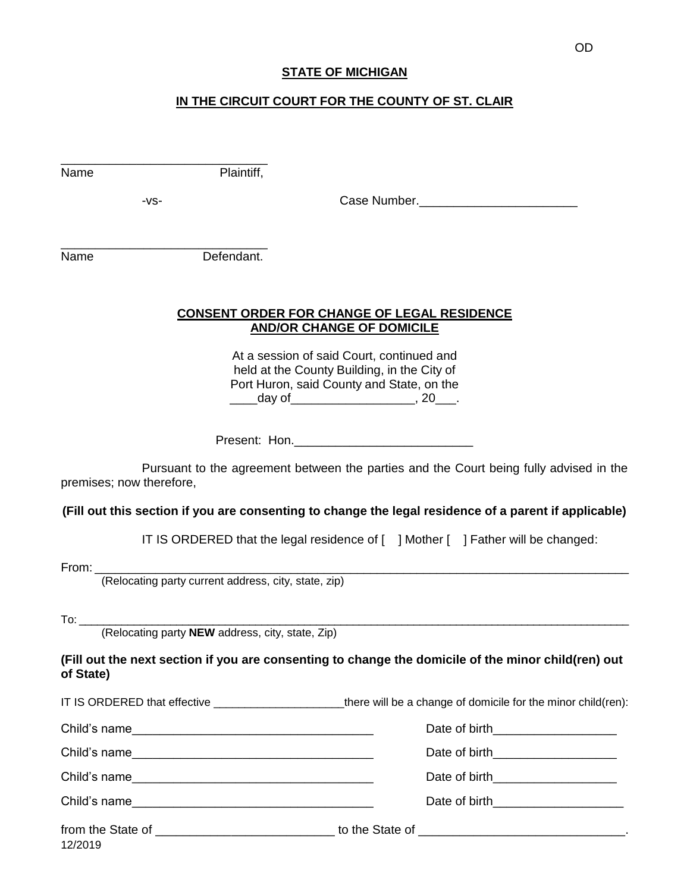## **STATE OF MICHIGAN**

## **IN THE CIRCUIT COURT FOR THE COUNTY OF ST. CLAIR**

| Name                     | Plaintiff, |                                                                                                                                                                                         |
|--------------------------|------------|-----------------------------------------------------------------------------------------------------------------------------------------------------------------------------------------|
| -VS-                     |            | Case Number.                                                                                                                                                                            |
|                          |            |                                                                                                                                                                                         |
| Name                     | Defendant. |                                                                                                                                                                                         |
|                          |            | <b>CONSENT ORDER FOR CHANGE OF LEGAL RESIDENCE</b><br><b>AND/OR CHANGE OF DOMICILE</b>                                                                                                  |
|                          |            | At a session of said Court, continued and<br>held at the County Building, in the City of<br>Port Huron, said County and State, on the<br>_____day of__________________________, 20____. |
|                          |            |                                                                                                                                                                                         |
| premises; now therefore, |            | Pursuant to the agreement between the parties and the Court being fully advised in the                                                                                                  |
|                          |            | (Fill out this section if you are consenting to change the legal residence of a parent if applicable)                                                                                   |
|                          |            | IT IS ORDERED that the legal residence of [ ] Mother [ ] Father will be changed:                                                                                                        |
|                          |            |                                                                                                                                                                                         |
|                          |            |                                                                                                                                                                                         |
|                          |            |                                                                                                                                                                                         |
| of State)                |            | (Fill out the next section if you are consenting to change the domicile of the minor child(ren) out                                                                                     |
|                          |            | IT IS ORDERED that effective ________________________there will be a change of domicile for the minor child(ren):                                                                       |
|                          |            | Date of birth______________________                                                                                                                                                     |
|                          |            | Date of birth______________________                                                                                                                                                     |
|                          |            | Date of birth________________________                                                                                                                                                   |
| Child's name             |            | Date of birth______________________                                                                                                                                                     |
| 12/2019                  |            | from the State of ________________________________ to the State of _________________________________                                                                                    |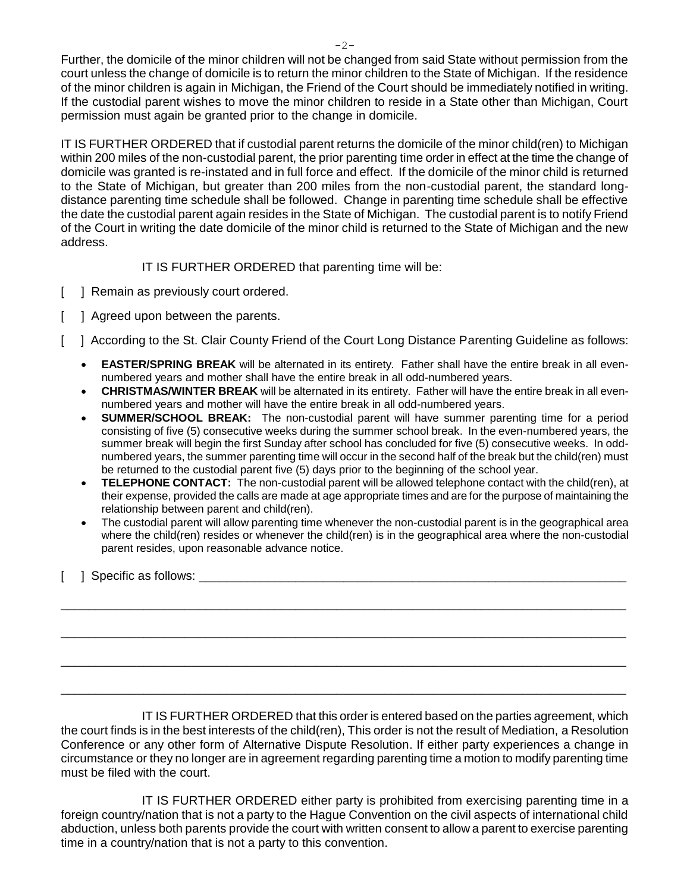Further, the domicile of the minor children will not be changed from said State without permission from the court unless the change of domicile is to return the minor children to the State of Michigan. If the residence of the minor children is again in Michigan, the Friend of the Court should be immediately notified in writing. If the custodial parent wishes to move the minor children to reside in a State other than Michigan, Court permission must again be granted prior to the change in domicile.

IT IS FURTHER ORDERED that if custodial parent returns the domicile of the minor child(ren) to Michigan within 200 miles of the non-custodial parent, the prior parenting time order in effect at the time the change of domicile was granted is re-instated and in full force and effect. If the domicile of the minor child is returned to the State of Michigan, but greater than 200 miles from the non-custodial parent, the standard longdistance parenting time schedule shall be followed. Change in parenting time schedule shall be effective the date the custodial parent again resides in the State of Michigan. The custodial parent is to notify Friend of the Court in writing the date domicile of the minor child is returned to the State of Michigan and the new address.

IT IS FURTHER ORDERED that parenting time will be:

- [ ] Remain as previously court ordered.
- [ ] Agreed upon between the parents.
- [ ] According to the St. Clair County Friend of the Court Long Distance Parenting Guideline as follows:
	- **EASTER/SPRING BREAK** will be alternated in its entirety. Father shall have the entire break in all evennumbered years and mother shall have the entire break in all odd-numbered years.
	- **CHRISTMAS/WINTER BREAK** will be alternated in its entirety. Father will have the entire break in all evennumbered years and mother will have the entire break in all odd-numbered years.
	- **SUMMER/SCHOOL BREAK:** The non-custodial parent will have summer parenting time for a period consisting of five (5) consecutive weeks during the summer school break. In the even-numbered years, the summer break will begin the first Sunday after school has concluded for five (5) consecutive weeks. In oddnumbered years, the summer parenting time will occur in the second half of the break but the child(ren) must be returned to the custodial parent five (5) days prior to the beginning of the school year.
	- **TELEPHONE CONTACT:** The non-custodial parent will be allowed telephone contact with the child(ren), at their expense, provided the calls are made at age appropriate times and are for the purpose of maintaining the relationship between parent and child(ren).
	- The custodial parent will allow parenting time whenever the non-custodial parent is in the geographical area where the child(ren) resides or whenever the child(ren) is in the geographical area where the non-custodial parent resides, upon reasonable advance notice.

\_\_\_\_\_\_\_\_\_\_\_\_\_\_\_\_\_\_\_\_\_\_\_\_\_\_\_\_\_\_\_\_\_\_\_\_\_\_\_\_\_\_\_\_\_\_\_\_\_\_\_\_\_\_\_\_\_\_\_\_\_\_\_\_\_\_\_\_\_\_\_\_\_\_\_\_\_\_\_\_\_\_

\_\_\_\_\_\_\_\_\_\_\_\_\_\_\_\_\_\_\_\_\_\_\_\_\_\_\_\_\_\_\_\_\_\_\_\_\_\_\_\_\_\_\_\_\_\_\_\_\_\_\_\_\_\_\_\_\_\_\_\_\_\_\_\_\_\_\_\_\_\_\_\_\_\_\_\_\_\_\_\_\_\_

\_\_\_\_\_\_\_\_\_\_\_\_\_\_\_\_\_\_\_\_\_\_\_\_\_\_\_\_\_\_\_\_\_\_\_\_\_\_\_\_\_\_\_\_\_\_\_\_\_\_\_\_\_\_\_\_\_\_\_\_\_\_\_\_\_\_\_\_\_\_\_\_\_\_\_\_\_\_\_\_\_\_

\_\_\_\_\_\_\_\_\_\_\_\_\_\_\_\_\_\_\_\_\_\_\_\_\_\_\_\_\_\_\_\_\_\_\_\_\_\_\_\_\_\_\_\_\_\_\_\_\_\_\_\_\_\_\_\_\_\_\_\_\_\_\_\_\_\_\_\_\_\_\_\_\_\_\_\_\_\_\_\_\_\_

[ ] Specific as follows: \_\_\_\_\_\_\_\_\_\_\_\_\_\_\_\_\_\_\_\_\_\_\_\_\_\_\_\_\_\_\_\_\_\_\_\_\_\_\_\_\_\_\_\_\_\_\_\_\_\_\_\_\_\_\_\_\_\_\_\_\_\_

IT IS FURTHER ORDERED that this order is entered based on the parties agreement, which the court finds is in the best interests of the child(ren), This order is not the result of Mediation, a Resolution Conference or any other form of Alternative Dispute Resolution. If either party experiences a change in circumstance or they no longer are in agreement regarding parenting time a motion to modify parenting time must be filed with the court.

IT IS FURTHER ORDERED either party is prohibited from exercising parenting time in a foreign country/nation that is not a party to the Hague Convention on the civil aspects of international child abduction, unless both parents provide the court with written consent to allow a parent to exercise parenting time in a country/nation that is not a party to this convention.